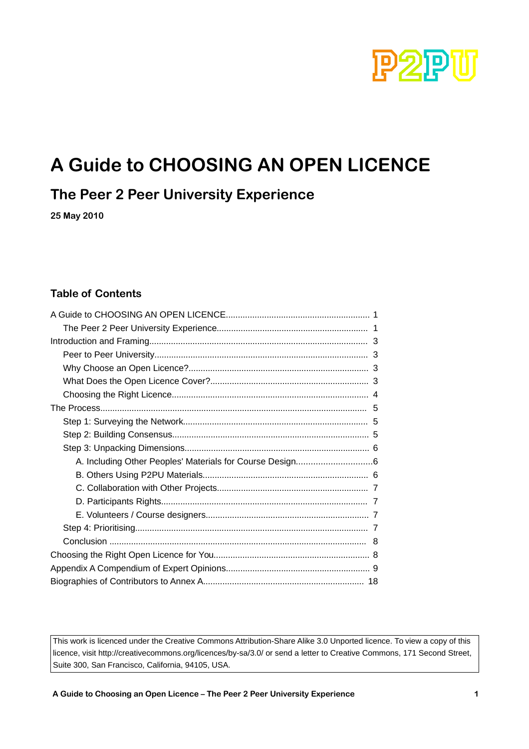

# **A Guide to CHOOSING AN OPEN LICENCE**

### **The Peer 2 Peer University Experience**

**25 May 2010**

#### **Table of Contents**

| 8 |  |
|---|--|
|   |  |
|   |  |
|   |  |

This work is licenced under the Creative Commons Attribution-Share Alike 3.0 Unported licence. To view a copy of this licence, visit http://creativecommons.org/licences/by-sa/3.0/ or send a letter to Creative Commons, 171 Second Street, Suite 300, San Francisco, California, 94105, USA.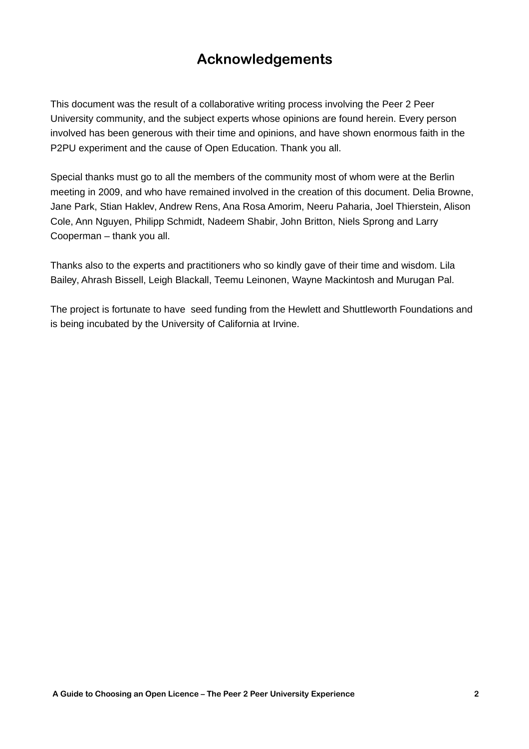### **Acknowledgements**

This document was the result of a collaborative writing process involving the Peer 2 Peer University community, and the subject experts whose opinions are found herein. Every person involved has been generous with their time and opinions, and have shown enormous faith in the P2PU experiment and the cause of Open Education. Thank you all.

Special thanks must go to all the members of the community most of whom were at the Berlin meeting in 2009, and who have remained involved in the creation of this document. Delia Browne, Jane Park, Stian Haklev, Andrew Rens, Ana Rosa Amorim, Neeru Paharia, Joel Thierstein, Alison Cole, Ann Nguyen, Philipp Schmidt, Nadeem Shabir, John Britton, Niels Sprong and Larry Cooperman – thank you all.

Thanks also to the experts and practitioners who so kindly gave of their time and wisdom. Lila Bailey, Ahrash Bissell, Leigh Blackall, Teemu Leinonen, Wayne Mackintosh and Murugan Pal.

The project is fortunate to have seed funding from the Hewlett and Shuttleworth Foundations and is being incubated by the University of California at Irvine.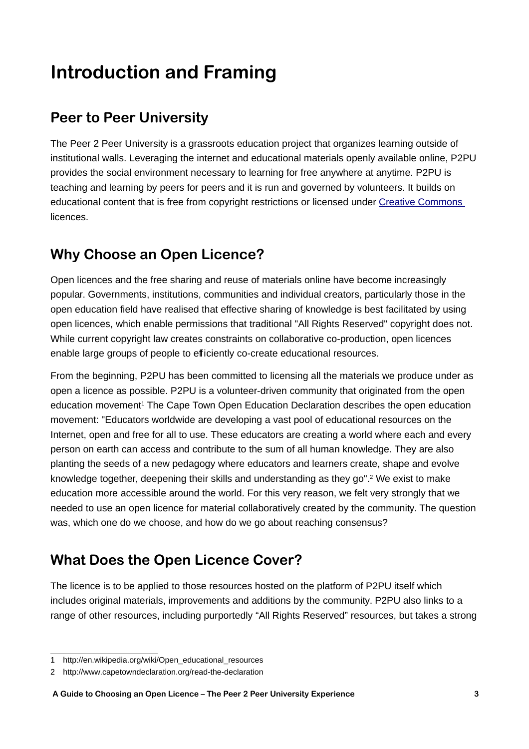# **Introduction and Framing**

## **Peer to Peer University**

The Peer 2 Peer University is a grassroots education project that organizes learning outside of institutional walls. Leveraging the internet and educational materials openly available online, P2PU provides the social environment necessary to learning for free anywhere at anytime. P2PU is teaching and learning by peers for peers and it is run and governed by volunteers. It builds on educational content that is free from copyright restrictions or licensed under [Creative Commons](http://creativecommons.org/) licences.

## **Why Choose an Open Licence?**

Open licences and the free sharing and reuse of materials online have become increasingly popular. Governments, institutions, communities and individual creators, particularly those in the open education field have realised that effective sharing of knowledge is best facilitated by using open licences, which enable permissions that traditional "All Rights Reserved" copyright does not. While current copyright law creates constraints on collaborative co-production, open licences enable large groups of people to efficiently co-create educational resources.

From the beginning, P2PU has been committed to licensing all the materials we produce under as open a licence as possible. P2PU is a volunteer-driven community that originated from the open education movement<sup>[1](#page-2-0)</sup> The Cape Town Open Education Declaration describes the open education movement: "Educators worldwide are developing a vast pool of educational resources on the Internet, open and free for all to use. These educators are creating a world where each and every person on earth can access and contribute to the sum of all human knowledge. They are also planting the seeds of a new pedagogy where educators and learners create, shape and evolve knowledge together, deepening their skills and understanding as they go".<sup>[2](#page-2-1)</sup> We exist to make education more accessible around the world. For this very reason, we felt very strongly that we needed to use an open licence for material collaboratively created by the community. The question was, which one do we choose, and how do we go about reaching consensus?

## **What Does the Open Licence Cover?**

The licence is to be applied to those resources hosted on the platform of P2PU itself which includes original materials, improvements and additions by the community. P2PU also links to a range of other resources, including purportedly "All Rights Reserved" resources, but takes a strong

<span id="page-2-0"></span><sup>1</sup> http://en.wikipedia.org/wiki/Open\_educational\_resources

<span id="page-2-1"></span><sup>2</sup> http://www.capetowndeclaration.org/read-the-declaration

**A Guide to Choosing an Open Licence – The Peer 2 Peer University Experience 3**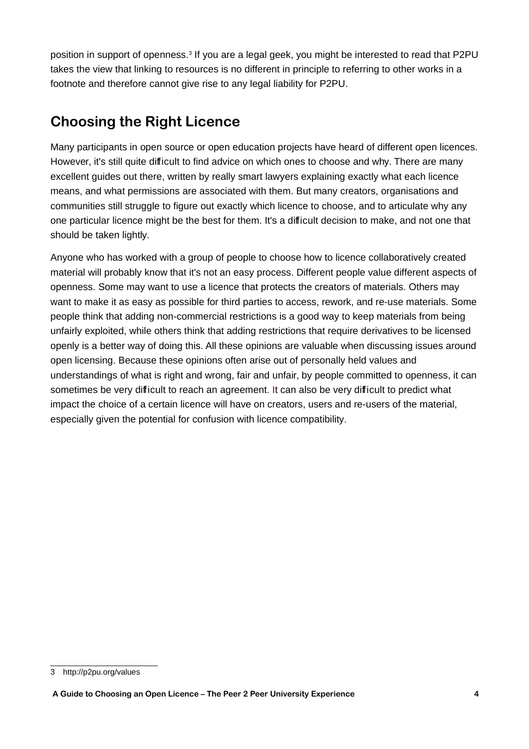position in support of openness.<sup>[3](#page-3-0)</sup> If you are a legal geek, you might be interested to read that P2PU takes the view that linking to resources is no different in principle to referring to other works in a footnote and therefore cannot give rise to any legal liability for P2PU.

## **Choosing the Right Licence**

Many participants in open source or open education projects have heard of different open licences. However, it's still quite difficult to find advice on which ones to choose and why. There are many excellent guides out there, written by really smart lawyers explaining exactly what each licence means, and what permissions are associated with them. But many creators, organisations and communities still struggle to figure out exactly which licence to choose, and to articulate why any one particular licence might be the best for them. It's a difficult decision to make, and not one that should be taken lightly.

Anyone who has worked with a group of people to choose how to licence collaboratively created material will probably know that it's not an easy process. Different people value different aspects of openness. Some may want to use a licence that protects the creators of materials. Others may want to make it as easy as possible for third parties to access, rework, and re-use materials. Some people think that adding non-commercial restrictions is a good way to keep materials from being unfairly exploited, while others think that adding restrictions that require derivatives to be licensed openly is a better way of doing this. All these opinions are valuable when discussing issues around open licensing. Because these opinions often arise out of personally held values and understandings of what is right and wrong, fair and unfair, by people committed to openness, it can sometimes be very difficult to reach an agreement. It can also be very difficult to predict what impact the choice of a certain licence will have on creators, users and re-users of the material, especially given the potential for confusion with licence compatibility.

<span id="page-3-0"></span><sup>3</sup> http://p2pu.org/values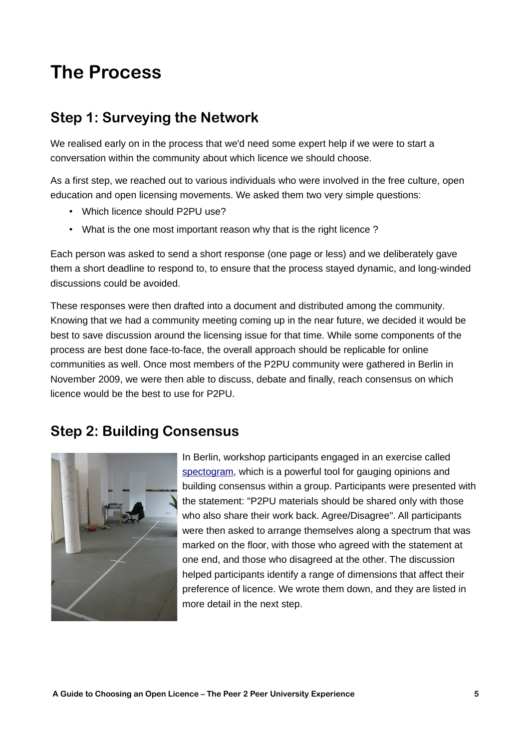# **The Process**

### **Step 1: Surveying the Network**

We realised early on in the process that we'd need some expert help if we were to start a conversation within the community about which licence we should choose.

As a first step, we reached out to various individuals who were involved in the free culture, open education and open licensing movements. We asked them two very simple questions:

- Which licence should P2PU use?
- What is the one most important reason why that is the right licence ?

Each person was asked to send a short response (one page or less) and we deliberately gave them a short deadline to respond to, to ensure that the process stayed dynamic, and long-winded discussions could be avoided.

These responses were then drafted into a document and distributed among the community. Knowing that we had a community meeting coming up in the near future, we decided it would be best to save discussion around the licensing issue for that time. While some components of the process are best done face-to-face, the overall approach should be replicable for online communities as well. Once most members of the P2PU community were gathered in Berlin in November 2009, we were then able to discuss, debate and finally, reach consensus on which licence would be the best to use for P2PU.

### **Step 2: Building Consensus**



In Berlin, workshop participants engaged in an exercise called [spectogram,](http://www.unconference.net/unconference-methods-spectrogram/) which is a powerful tool for gauging opinions and building consensus within a group. Participants were presented with the statement: "P2PU materials should be shared only with those who also share their work back. Agree/Disagree". All participants were then asked to arrange themselves along a spectrum that was marked on the floor, with those who agreed with the statement at one end, and those who disagreed at the other. The discussion helped participants identify a range of dimensions that affect their preference of licence. We wrote them down, and they are listed in more detail in the next step.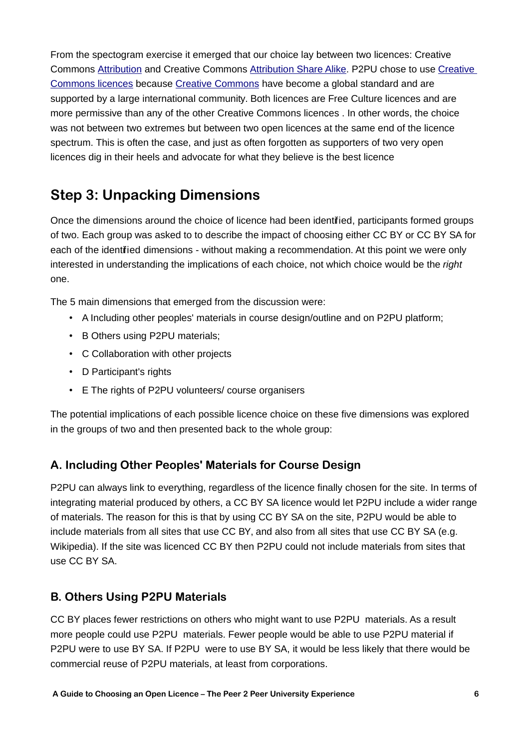From the spectogram exercise it emerged that our choice lay between two licences: Creative Commons [Attribution](http://creativecommons.org/licenses/by/2.0/) and Creative Commons [Attribution Share Alike.](http://creativecommons.org/licenses/by-sa/2.5/) P2PU chose to use [Creative](http://creativecommons.org/about/licenses) [Commons licences](http://creativecommons.org/about/licenses) because [Creative Commons](http://creativecommons.org/) have become a global standard and are supported by a large international community. Both licences are Free Culture licences and are more permissive than any of the other Creative Commons licences . In other words, the choice was not between two extremes but between two open licences at the same end of the licence spectrum. This is often the case, and just as often forgotten as supporters of two very open licences dig in their heels and advocate for what they believe is the best licence

## **Step 3: Unpacking Dimensions**

Once the dimensions around the choice of licence had been identified, participants formed groups of two. Each group was asked to to describe the impact of choosing either CC BY or CC BY SA for each of the identified dimensions - without making a recommendation. At this point we were only interested in understanding the implications of each choice, not which choice would be the right one.

The 5 main dimensions that emerged from the discussion were:

- A Including other peoples' materials in course design/outline and on P2PU platform;
- B Others using P2PU materials;
- C Collaboration with other projects
- D Participant's rights
- E The rights of P2PU volunteers/ course organisers

The potential implications of each possible licence choice on these five dimensions was explored in the groups of two and then presented back to the whole group:

#### **A. Including Other Peoples' Materials for Course Design**

P2PU can always link to everything, regardless of the licence finally chosen for the site. In terms of integrating material produced by others, a CC BY SA licence would let P2PU include a wider range of materials. The reason for this is that by using CC BY SA on the site, P2PU would be able to include materials from all sites that use CC BY, and also from all sites that use CC BY SA (e.g. Wikipedia). If the site was licenced CC BY then P2PU could not include materials from sites that use CC BY SA.

#### **B. Others Using P2PU Materials**

CC BY places fewer restrictions on others who might want to use P2PU materials. As a result more people could use P2PU materials. Fewer people would be able to use P2PU material if P2PU were to use BY SA. If P2PU were to use BY SA, it would be less likely that there would be commercial reuse of P2PU materials, at least from corporations.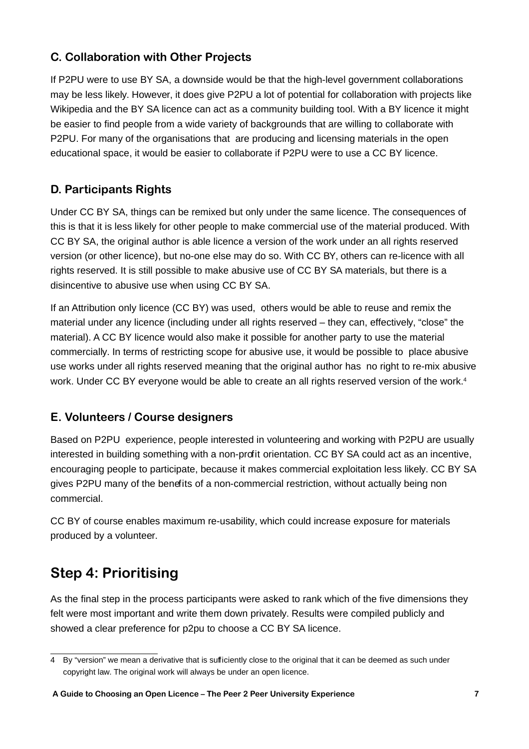### **C. Collaboration with Other Projects**

If P2PU were to use BY SA, a downside would be that the high-level government collaborations may be less likely. However, it does give P2PU a lot of potential for collaboration with projects like Wikipedia and the BY SA licence can act as a community building tool. With a BY licence it might be easier to find people from a wide variety of backgrounds that are willing to collaborate with P2PU. For many of the organisations that are producing and licensing materials in the open educational space, it would be easier to collaborate if P2PU were to use a CC BY licence.

### **D. Participants Rights**

Under CC BY SA, things can be remixed but only under the same licence. The consequences of this is that it is less likely for other people to make commercial use of the material produced. With CC BY SA, the original author is able licence a version of the work under an all rights reserved version (or other licence), but no-one else may do so. With CC BY, others can re-licence with all rights reserved. It is still possible to make abusive use of CC BY SA materials, but there is a disincentive to abusive use when using CC BY SA.

If an Attribution only licence (CC BY) was used, others would be able to reuse and remix the material under any licence (including under all rights reserved – they can, effectively, "close" the material). A CC BY licence would also make it possible for another party to use the material commercially. In terms of restricting scope for abusive use, it would be possible to place abusive use works under all rights reserved meaning that the original author has no right to re-mix abusive work. Under CC BY everyone would be able to create an all rights reserved version of the work.<sup>[4](#page-6-0)</sup>

### **E. Volunteers / Course designers**

Based on P2PU experience, people interested in volunteering and working with P2PU are usually interested in building something with a non-profit orientation. CC BY SA could act as an incentive, encouraging people to participate, because it makes commercial exploitation less likely. CC BY SA gives P2PU many of the benefits of a non-commercial restriction, without actually being non commercial.

CC BY of course enables maximum re-usability, which could increase exposure for materials produced by a volunteer.

## **Step 4: Prioritising**

As the final step in the process participants were asked to rank which of the five dimensions they felt were most important and write them down privately. Results were compiled publicly and showed a clear preference for p2pu to choose a CC BY SA licence.

<span id="page-6-0"></span><sup>4</sup> By "version" we mean a derivative that is sufficiently close to the original that it can be deemed as such under copyright law. The original work will always be under an open licence.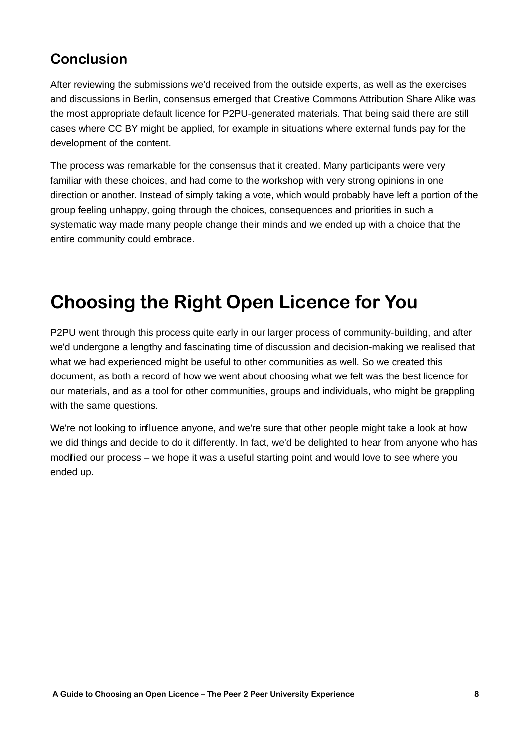## **Conclusion**

After reviewing the submissions we'd received from the outside experts, as well as the exercises and discussions in Berlin, consensus emerged that Creative Commons Attribution Share Alike was the most appropriate default licence for P2PU-generated materials. That being said there are still cases where CC BY might be applied, for example in situations where external funds pay for the development of the content.

The process was remarkable for the consensus that it created. Many participants were very familiar with these choices, and had come to the workshop with very strong opinions in one direction or another. Instead of simply taking a vote, which would probably have left a portion of the group feeling unhappy, going through the choices, consequences and priorities in such a systematic way made many people change their minds and we ended up with a choice that the entire community could embrace.

# **Choosing the Right Open Licence for You**

P2PU went through this process quite early in our larger process of community-building, and after we'd undergone a lengthy and fascinating time of discussion and decision-making we realised that what we had experienced might be useful to other communities as well. So we created this document, as both a record of how we went about choosing what we felt was the best licence for our materials, and as a tool for other communities, groups and individuals, who might be grappling with the same questions.

We're not looking to influence anyone, and we're sure that other people might take a look at how we did things and decide to do it differently. In fact, we'd be delighted to hear from anyone who has modified our process – we hope it was a useful starting point and would love to see where you ended up.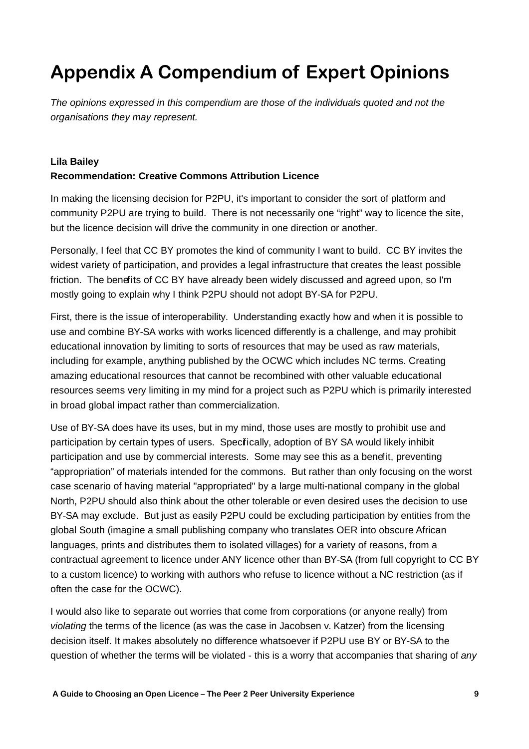# **Appendix A Compendium of Expert Opinions**

The opinions expressed in this compendium are those of the individuals quoted and not the organisations they may represent.

#### **Lila Bailey Recommendation: Creative Commons Attribution Licence**

In making the licensing decision for P2PU, it's important to consider the sort of platform and community P2PU are trying to build. There is not necessarily one "right" way to licence the site, but the licence decision will drive the community in one direction or another.

Personally, I feel that CC BY promotes the kind of community I want to build. CC BY invites the widest variety of participation, and provides a legal infrastructure that creates the least possible friction. The benefits of CC BY have already been widely discussed and agreed upon, so I'm mostly going to explain why I think P2PU should not adopt BY-SA for P2PU.

First, there is the issue of interoperability. Understanding exactly how and when it is possible to use and combine BY-SA works with works licenced differently is a challenge, and may prohibit educational innovation by limiting to sorts of resources that may be used as raw materials, including for example, anything published by the OCWC which includes NC terms. Creating amazing educational resources that cannot be recombined with other valuable educational resources seems very limiting in my mind for a project such as P2PU which is primarily interested in broad global impact rather than commercialization.

Use of BY-SA does have its uses, but in my mind, those uses are mostly to prohibit use and participation by certain types of users. Specifically, adoption of BY SA would likely inhibit participation and use by commercial interests. Some may see this as a benefit, preventing "appropriation" of materials intended for the commons. But rather than only focusing on the worst case scenario of having material "appropriated" by a large multi-national company in the global North, P2PU should also think about the other tolerable or even desired uses the decision to use BY-SA may exclude. But just as easily P2PU could be excluding participation by entities from the global South (imagine a small publishing company who translates OER into obscure African languages, prints and distributes them to isolated villages) for a variety of reasons, from a contractual agreement to licence under ANY licence other than BY-SA (from full copyright to CC BY to a custom licence) to working with authors who refuse to licence without a NC restriction (as if often the case for the OCWC).

I would also like to separate out worries that come from corporations (or anyone really) from violating the terms of the licence (as was the case in Jacobsen v. Katzer) from the licensing decision itself. It makes absolutely no difference whatsoever if P2PU use BY or BY-SA to the question of whether the terms will be violated - this is a worry that accompanies that sharing of any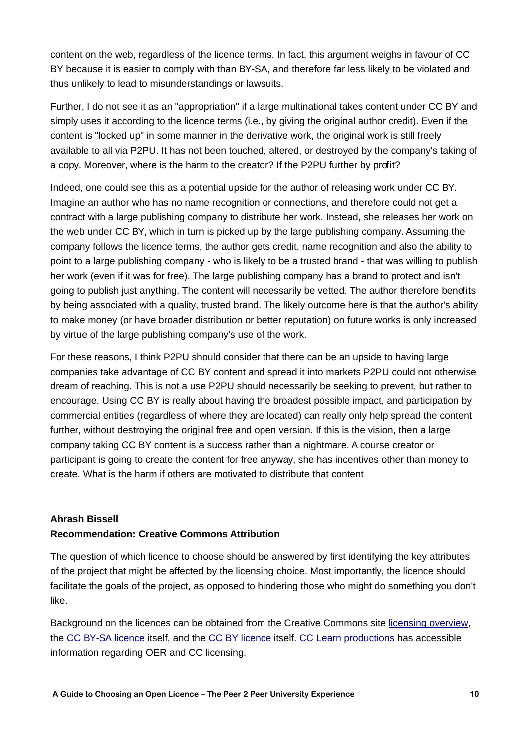content on the web, regardless of the licence terms. In fact, this argument weighs in favour of CC BY because it is easier to comply with than BY-SA, and therefore far less likely to be violated and thus unlikely to lead to misunderstandings or lawsuits.

Further, I do not see it as an "appropriation" if a large multinational takes content under CC BY and simply uses it according to the licence terms (i.e., by giving the original author credit). Even if the content is "locked up" in some manner in the derivative work, the original work is still freely available to all via P2PU. It has not been touched, altered, or destroyed by the company's taking of a copy. Moreover, where is the harm to the creator? If the P2PU further by profit?

Indeed, one could see this as a potential upside for the author of releasing work under CC BY. Imagine an author who has no name recognition or connections, and therefore could not get a contract with a large publishing company to distribute her work. Instead, she releases her work on the web under CC BY, which in turn is picked up by the large publishing company. Assuming the company follows the licence terms, the author gets credit, name recognition and also the ability to point to a large publishing company - who is likely to be a trusted brand - that was willing to publish her work (even if it was for free). The large publishing company has a brand to protect and isn't going to publish just anything. The content will necessarily be vetted. The author therefore benefits by being associated with a quality, trusted brand. The likely outcome here is that the author's ability to make money (or have broader distribution or better reputation) on future works is only increased by virtue of the large publishing company's use of the work.

For these reasons, I think P2PU should consider that there can be an upside to having large companies take advantage of CC BY content and spread it into markets P2PU could not otherwise dream of reaching. This is not a use P2PU should necessarily be seeking to prevent, but rather to encourage. Using CC BY is really about having the broadest possible impact, and participation by commercial entities (regardless of where they are located) can really only help spread the content further, without destroying the original free and open version. If this is the vision, then a large company taking CC BY content is a success rather than a nightmare. A course creator or participant is going to create the content for free anyway, she has incentives other than money to create. What is the harm if others are motivated to distribute that content

#### **Ahrash Bissell**

#### **Recommendation: Creative Commons Attribution**

The question of which licence to choose should be answered by first identifying the key attributes of the project that might be affected by the licensing choice. Most importantly, the licence should facilitate the goals of the project, as opposed to hindering those who might do something you don't like.

Background on the licences can be obtained from the Creative Commons site [licensing overview,](http://creativecommons.org/about/licenses) the [CC BY-SA licence](http://creativecommons.org/licenses/by-sa/3.0/) itself, and the [CC BY licence](http://creativecommons.org/licenses/by/3.0/) itself. [CC Learn productions](http://learn.creativecommons.org/productions/) has accessible information regarding OER and CC licensing.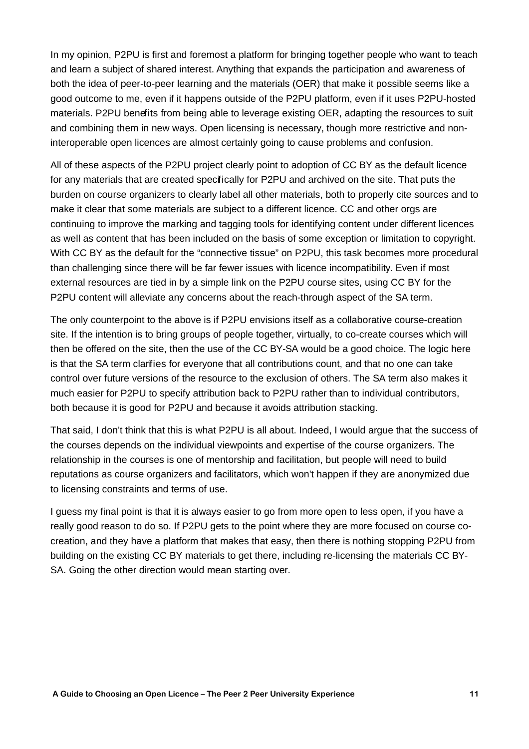In my opinion, P2PU is first and foremost a platform for bringing together people who want to teach and learn a subject of shared interest. Anything that expands the participation and awareness of both the idea of peer-to-peer learning and the materials (OER) that make it possible seems like a good outcome to me, even if it happens outside of the P2PU platform, even if it uses P2PU-hosted materials. P2PU benefits from being able to leverage existing OER, adapting the resources to suit and combining them in new ways. Open licensing is necessary, though more restrictive and noninteroperable open licences are almost certainly going to cause problems and confusion.

All of these aspects of the P2PU project clearly point to adoption of CC BY as the default licence for any materials that are created specifically for P2PU and archived on the site. That puts the burden on course organizers to clearly label all other materials, both to properly cite sources and to make it clear that some materials are subject to a different licence. CC and other orgs are continuing to improve the marking and tagging tools for identifying content under different licences as well as content that has been included on the basis of some exception or limitation to copyright. With CC BY as the default for the "connective tissue" on P2PU, this task becomes more procedural than challenging since there will be far fewer issues with licence incompatibility. Even if most external resources are tied in by a simple link on the P2PU course sites, using CC BY for the P2PU content will alleviate any concerns about the reach-through aspect of the SA term.

The only counterpoint to the above is if P2PU envisions itself as a collaborative course-creation site. If the intention is to bring groups of people together, virtually, to co-create courses which will then be offered on the site, then the use of the CC BY-SA would be a good choice. The logic here is that the SA term clarifies for everyone that all contributions count, and that no one can take control over future versions of the resource to the exclusion of others. The SA term also makes it much easier for P2PU to specify attribution back to P2PU rather than to individual contributors, both because it is good for P2PU and because it avoids attribution stacking.

That said, I don't think that this is what P2PU is all about. Indeed, I would argue that the success of the courses depends on the individual viewpoints and expertise of the course organizers. The relationship in the courses is one of mentorship and facilitation, but people will need to build reputations as course organizers and facilitators, which won't happen if they are anonymized due to licensing constraints and terms of use.

I guess my final point is that it is always easier to go from more open to less open, if you have a really good reason to do so. If P2PU gets to the point where they are more focused on course cocreation, and they have a platform that makes that easy, then there is nothing stopping P2PU from building on the existing CC BY materials to get there, including re-licensing the materials CC BY-SA. Going the other direction would mean starting over.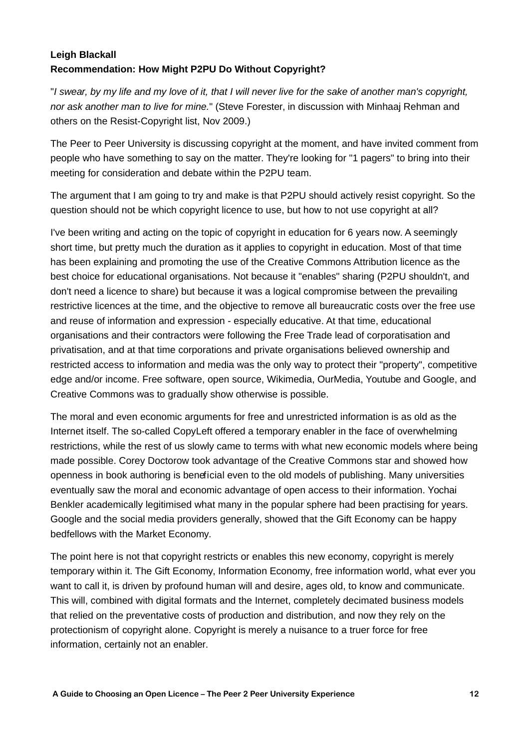#### **Leigh Blackall Recommendation: How Might P2PU Do Without Copyright?**

"I swear, by my life and my love of it, that I will never live for the sake of another man's copyright, nor ask another man to live for mine." (Steve Forester, in discussion with Minhaaj Rehman and others on the Resist-Copyright list, Nov 2009.)

The Peer to Peer University is discussing copyright at the moment, and have invited comment from people who have something to say on the matter. They're looking for "1 pagers" to bring into their meeting for consideration and debate within the P2PU team.

The argument that I am going to try and make is that P2PU should actively resist copyright. So the question should not be which copyright licence to use, but how to not use copyright at all?

I've been writing and acting on the topic of copyright in education for 6 years now. A seemingly short time, but pretty much the duration as it applies to copyright in education. Most of that time has been explaining and promoting the use of the Creative Commons Attribution licence as the best choice for educational organisations. Not because it "enables" sharing (P2PU shouldn't, and don't need a licence to share) but because it was a logical compromise between the prevailing restrictive licences at the time, and the objective to remove all bureaucratic costs over the free use and reuse of information and expression - especially educative. At that time, educational organisations and their contractors were following the Free Trade lead of corporatisation and privatisation, and at that time corporations and private organisations believed ownership and restricted access to information and media was the only way to protect their "property", competitive edge and/or income. Free software, open source, Wikimedia, OurMedia, Youtube and Google, and Creative Commons was to gradually show otherwise is possible.

The moral and even economic arguments for free and unrestricted information is as old as the Internet itself. The so-called CopyLeft offered a temporary enabler in the face of overwhelming restrictions, while the rest of us slowly came to terms with what new economic models where being made possible. Corey Doctorow took advantage of the Creative Commons star and showed how openness in book authoring is beneficial even to the old models of publishing. Many universities eventually saw the moral and economic advantage of open access to their information. Yochai Benkler academically legitimised what many in the popular sphere had been practising for years. Google and the social media providers generally, showed that the Gift Economy can be happy bedfellows with the Market Economy.

The point here is not that copyright restricts or enables this new economy, copyright is merely temporary within it. The Gift Economy, Information Economy, free information world, what ever you want to call it, is driven by profound human will and desire, ages old, to know and communicate. This will, combined with digital formats and the Internet, completely decimated business models that relied on the preventative costs of production and distribution, and now they rely on the protectionism of copyright alone. Copyright is merely a nuisance to a truer force for free information, certainly not an enabler.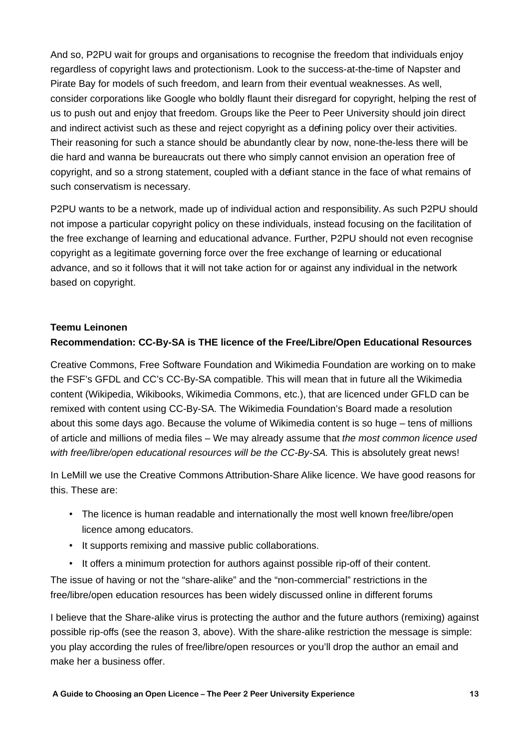And so, P2PU wait for groups and organisations to recognise the freedom that individuals enjoy regardless of copyright laws and protectionism. Look to the success-at-the-time of Napster and Pirate Bay for models of such freedom, and learn from their eventual weaknesses. As well, consider corporations like Google who boldly flaunt their disregard for copyright, helping the rest of us to push out and enjoy that freedom. Groups like the Peer to Peer University should join direct and indirect activist such as these and reject copyright as a defining policy over their activities. Their reasoning for such a stance should be abundantly clear by now, none-the-less there will be die hard and wanna be bureaucrats out there who simply cannot envision an operation free of copyright, and so a strong statement, coupled with a defiant stance in the face of what remains of such conservatism is necessary.

P2PU wants to be a network, made up of individual action and responsibility. As such P2PU should not impose a particular copyright policy on these individuals, instead focusing on the facilitation of the free exchange of learning and educational advance. Further, P2PU should not even recognise copyright as a legitimate governing force over the free exchange of learning or educational advance, and so it follows that it will not take action for or against any individual in the network based on copyright.

#### **Teemu Leinonen**

#### **Recommendation: CC-By-SA is THE licence of the Free/Libre/Open Educational Resources**

Creative Commons, Free Software Foundation and Wikimedia Foundation are working on to make the FSF's GFDL and CC's CC-By-SA compatible. This will mean that in future all the Wikimedia content (Wikipedia, Wikibooks, Wikimedia Commons, etc.), that are licenced under GFLD can be remixed with content using CC-By-SA. The Wikimedia Foundation's Board made a resolution about this some days ago. Because the volume of Wikimedia content is so huge – tens of millions of article and millions of media files – We may already assume that the most common licence used with free/libre/open educational resources will be the CC-By-SA. This is absolutely great news!

In LeMill we use the Creative Commons Attribution-Share Alike licence. We have good reasons for this. These are:

- The licence is human readable and internationally the most well known free/libre/open licence among educators.
- It supports remixing and massive public collaborations.
- It offers a minimum protection for authors against possible rip-off of their content.

The issue of having or not the "share-alike" and the "non-commercial" restrictions in the free/libre/open education resources has been widely discussed online in different forums

I believe that the Share-alike virus is protecting the author and the future authors (remixing) against possible rip-offs (see the reason 3, above). With the share-alike restriction the message is simple: you play according the rules of free/libre/open resources or you'll drop the author an email and make her a business offer.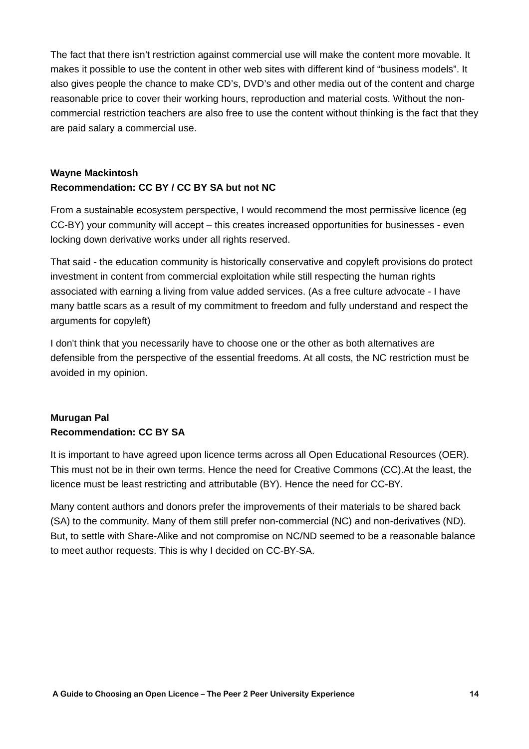The fact that there isn't restriction against commercial use will make the content more movable. It makes it possible to use the content in other web sites with different kind of "business models". It also gives people the chance to make CD's, DVD's and other media out of the content and charge reasonable price to cover their working hours, reproduction and material costs. Without the noncommercial restriction teachers are also free to use the content without thinking is the fact that they are paid salary a commercial use.

#### **Wayne Mackintosh Recommendation: CC BY / CC BY SA but not NC**

From a sustainable ecosystem perspective, I would recommend the most permissive licence (eg CC-BY) your community will accept – this creates increased opportunities for businesses - even locking down derivative works under all rights reserved.

That said - the education community is historically conservative and copyleft provisions do protect investment in content from commercial exploitation while still respecting the human rights associated with earning a living from value added services. (As a free culture advocate - I have many battle scars as a result of my commitment to freedom and fully understand and respect the arguments for copyleft)

I don't think that you necessarily have to choose one or the other as both alternatives are defensible from the perspective of the essential freedoms. At all costs, the NC restriction must be avoided in my opinion.

#### **Murugan Pal Recommendation: CC BY SA**

It is important to have agreed upon licence terms across all Open Educational Resources (OER). This must not be in their own terms. Hence the need for Creative Commons (CC).At the least, the licence must be least restricting and attributable (BY). Hence the need for CC-BY.

Many content authors and donors prefer the improvements of their materials to be shared back (SA) to the community. Many of them still prefer non-commercial (NC) and non-derivatives (ND). But, to settle with Share-Alike and not compromise on NC/ND seemed to be a reasonable balance to meet author requests. This is why I decided on CC-BY-SA.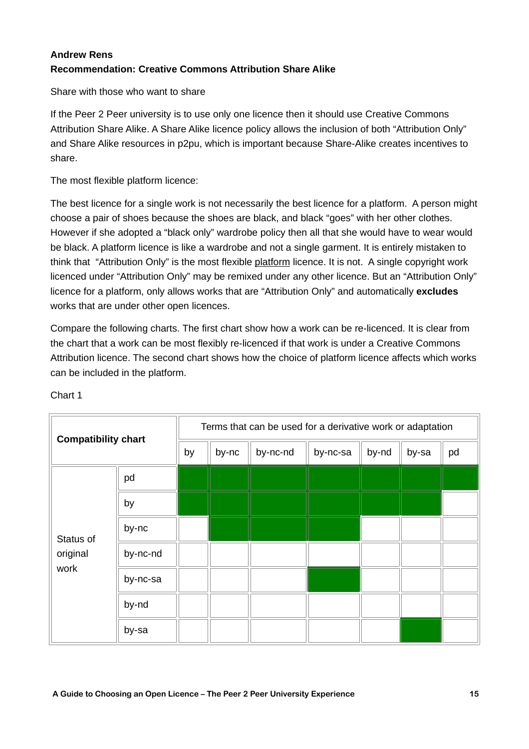#### **Andrew Rens Recommendation: Creative Commons Attribution Share Alike**

Share with those who want to share

If the Peer 2 Peer university is to use only one licence then it should use Creative Commons Attribution Share Alike. A Share Alike licence policy allows the inclusion of both "Attribution Only" and Share Alike resources in p2pu, which is important because Share-Alike creates incentives to share.

The most flexible platform licence:

The best licence for a single work is not necessarily the best licence for a platform. A person might choose a pair of shoes because the shoes are black, and black "goes" with her other clothes. However if she adopted a "black only" wardrobe policy then all that she would have to wear would be black. A platform licence is like a wardrobe and not a single garment. It is entirely mistaken to think that "Attribution Only" is the most flexible platform licence. It is not. A single copyright work licenced under "Attribution Only" may be remixed under any other licence. But an "Attribution Only" licence for a platform, only allows works that are "Attribution Only" and automatically **excludes** works that are under other open licences.

Compare the following charts. The first chart show how a work can be re-licenced. It is clear from the chart that a work can be most flexibly re-licenced if that work is under a Creative Commons Attribution licence. The second chart shows how the choice of platform licence affects which works can be included in the platform.

| <b>Compatibility chart</b>    |          | Terms that can be used for a derivative work or adaptation |       |          |          |       |       |    |  |
|-------------------------------|----------|------------------------------------------------------------|-------|----------|----------|-------|-------|----|--|
|                               |          | by                                                         | by-nc | by-nc-nd | by-nc-sa | by-nd | by-sa | pd |  |
| Status of<br>original<br>work | pd       |                                                            |       |          |          |       |       |    |  |
|                               | by       |                                                            |       |          |          |       |       |    |  |
|                               | by-nc    |                                                            |       |          |          |       |       |    |  |
|                               | by-nc-nd |                                                            |       |          |          |       |       |    |  |
|                               | by-nc-sa |                                                            |       |          |          |       |       |    |  |
|                               | by-nd    |                                                            |       |          |          |       |       |    |  |
|                               | by-sa    |                                                            |       |          |          |       |       |    |  |

Chart 1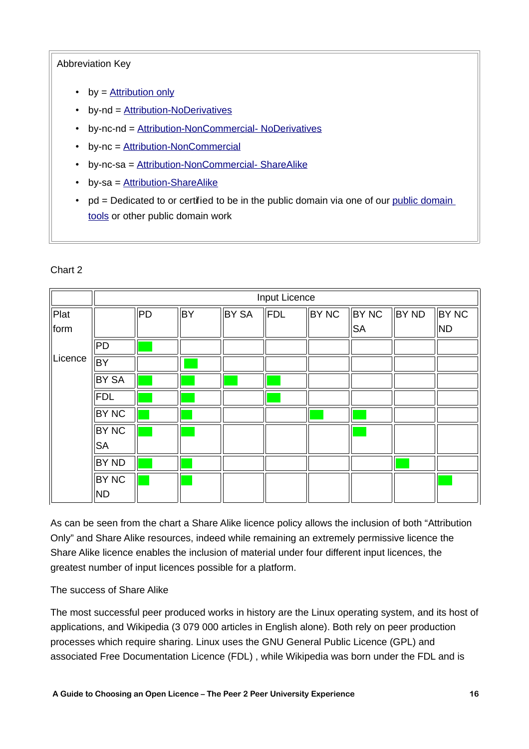#### Abbreviation Key

- by  $=$  [Attribution only](http://creativecommons.org/licenses/by/3.0/)
- by-nd = [Attribution-NoDerivatives](http://creativecommons.org/licenses/by-nd/3.0/)
- by-nc-nd = [Attribution-NonCommercial- NoDerivatives](http://creativecommons.org/licenses/by-nc-nd/3.0/)
- by-nc = [Attribution-NonCommercial](http://creativecommons.org/licenses/by-nc/3.0/)
- by-nc-sa = [Attribution-NonCommercial- ShareAlike](http://creativecommons.org/licenses/by-nc-sa/3.0/)
- by-sa = [Attribution-ShareAlike](http://creativecommons.org/licenses/by-sa/3.0/)
- pd = Dedicated to or certified to be in the [public domain](http://creativecommons.org/publicdomain) via one of our public domain [tools](http://creativecommons.org/publicdomain) or other public domain work

|         | Input Licence |    |    |              |     |       |           |              |              |  |
|---------|---------------|----|----|--------------|-----|-------|-----------|--------------|--------------|--|
| Plat    |               | PD | BY | <b>BY SA</b> | FDL | BY NC | BY NC     | <b>BY ND</b> | <b>BY NC</b> |  |
| form    |               |    |    |              |     |       | <b>SA</b> |              | ND           |  |
|         | PD            |    |    |              |     |       |           |              |              |  |
| Licence | BY            |    |    |              |     |       |           |              |              |  |
|         | <b>BY SA</b>  |    |    |              |     |       |           |              |              |  |
|         | FDL           |    |    |              |     |       |           |              |              |  |
|         | <b>BY NC</b>  |    |    |              |     |       |           |              |              |  |
|         | <b>BY NC</b>  |    |    |              |     |       |           |              |              |  |
|         | <b>SA</b>     |    |    |              |     |       |           |              |              |  |
|         | BY ND         |    |    |              |     |       |           |              |              |  |
|         | <b>BY NC</b>  |    |    |              |     |       |           |              |              |  |
|         | ND.           |    |    |              |     |       |           |              |              |  |

#### Chart 2

As can be seen from the chart a Share Alike licence policy allows the inclusion of both "Attribution Only" and Share Alike resources, indeed while remaining an extremely permissive licence the Share Alike licence enables the inclusion of material under four different input licences, the greatest number of input licences possible for a platform.

#### The success of Share Alike

The most successful peer produced works in history are the Linux operating system, and its host of applications, and Wikipedia (3 079 000 articles in English alone). Both rely on peer production processes which require sharing. Linux uses the GNU General Public Licence (GPL) and associated Free Documentation Licence (FDL) , while Wikipedia was born under the FDL and is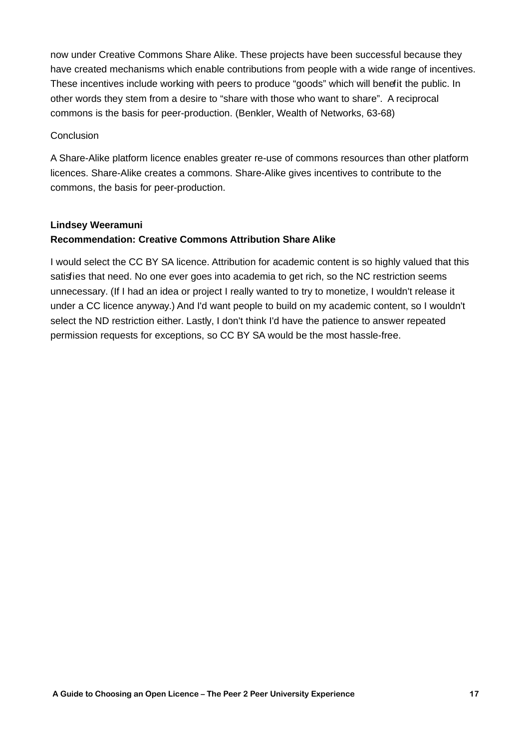now under Creative Commons Share Alike. These projects have been successful because they have created mechanisms which enable contributions from people with a wide range of incentives. These incentives include working with peers to produce "goods" which will benefit the public. In other words they stem from a desire to "share with those who want to share". A reciprocal commons is the basis for peer-production. (Benkler, Wealth of Networks, 63-68)

#### **Conclusion**

A Share-Alike platform licence enables greater re-use of commons resources than other platform licences. Share-Alike creates a commons. Share-Alike gives incentives to contribute to the commons, the basis for peer-production.

#### **Lindsey Weeramuni**

#### **Recommendation: Creative Commons Attribution Share Alike**

I would select the CC BY SA licence. Attribution for academic content is so highly valued that this satisfies that need. No one ever goes into academia to get rich, so the NC restriction seems unnecessary. (If I had an idea or project I really wanted to try to monetize, I wouldn't release it under a CC licence anyway.) And I'd want people to build on my academic content, so I wouldn't select the ND restriction either. Lastly, I don't think I'd have the patience to answer repeated permission requests for exceptions, so CC BY SA would be the most hassle-free.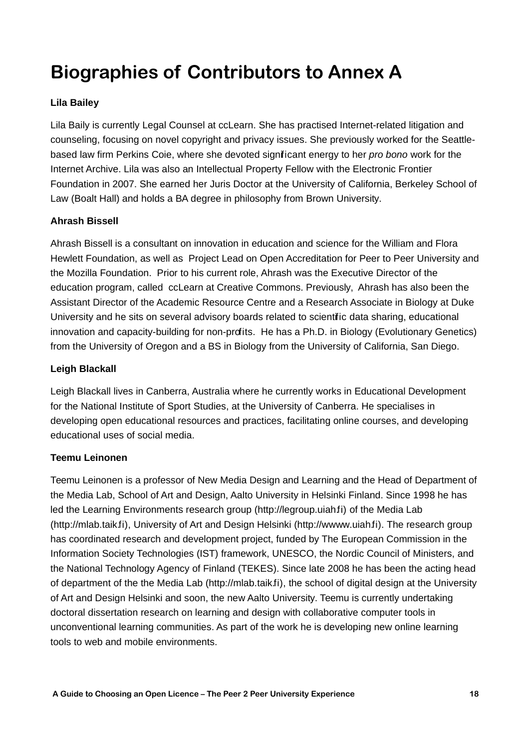# **Biographies of Contributors to Annex A**

#### **Lila Bailey**

Lila Baily is currently Legal Counsel at ccLearn. She has practised Internet-related litigation and counseling, focusing on novel copyright and privacy issues. She previously worked for the Seattlebased law firm Perkins Coie, where she devoted significant energy to her pro bono work for the Internet Archive. Lila was also an Intellectual Property Fellow with the Electronic Frontier Foundation in 2007. She earned her Juris Doctor at the University of California, Berkeley School of Law (Boalt Hall) and holds a BA degree in philosophy from Brown University.

#### **Ahrash Bissell**

Ahrash Bissell is a consultant on innovation in education and science for the William and Flora Hewlett Foundation, as well as Project Lead on Open Accreditation for Peer to Peer University and the Mozilla Foundation. Prior to his current role, Ahrash was the Executive Director of the education program, called ccLearn at Creative Commons. Previously, Ahrash has also been the Assistant Director of the Academic Resource Centre and a Research Associate in Biology at Duke University and he sits on several advisory boards related to scientific data sharing, educational innovation and capacity-building for non-profits. He has a Ph.D. in Biology (Evolutionary Genetics) from the University of Oregon and a BS in Biology from the University of California, San Diego.

#### **Leigh Blackall**

Leigh Blackall lives in Canberra, Australia where he currently works in Educational Development for the National Institute of Sport Studies, at the University of Canberra. He specialises in developing open educational resources and practices, facilitating online courses, and developing educational uses of social media.

#### **Teemu Leinonen**

Teemu Leinonen is a professor of New Media Design and Learning and the Head of Department of the Media Lab, School of Art and Design, Aalto University in Helsinki Finland. Since 1998 he has led the Learning Environments research group (http://legroup.uiah.fi) of the Media Lab (http://mlab.taik.fi), University of Art and Design Helsinki (http://wwww.uiah.fi). The research group has coordinated research and development project, funded by The European Commission in the Information Society Technologies (IST) framework, UNESCO, the Nordic Council of Ministers, and the National Technology Agency of Finland (TEKES). Since late 2008 he has been the acting head of department of the the Media Lab (http://mlab.taik.fi), the school of digital design at the University of Art and Design Helsinki and soon, the new Aalto University. Teemu is currently undertaking doctoral dissertation research on learning and design with collaborative computer tools in unconventional learning communities. As part of the work he is developing new online learning tools to web and mobile environments.